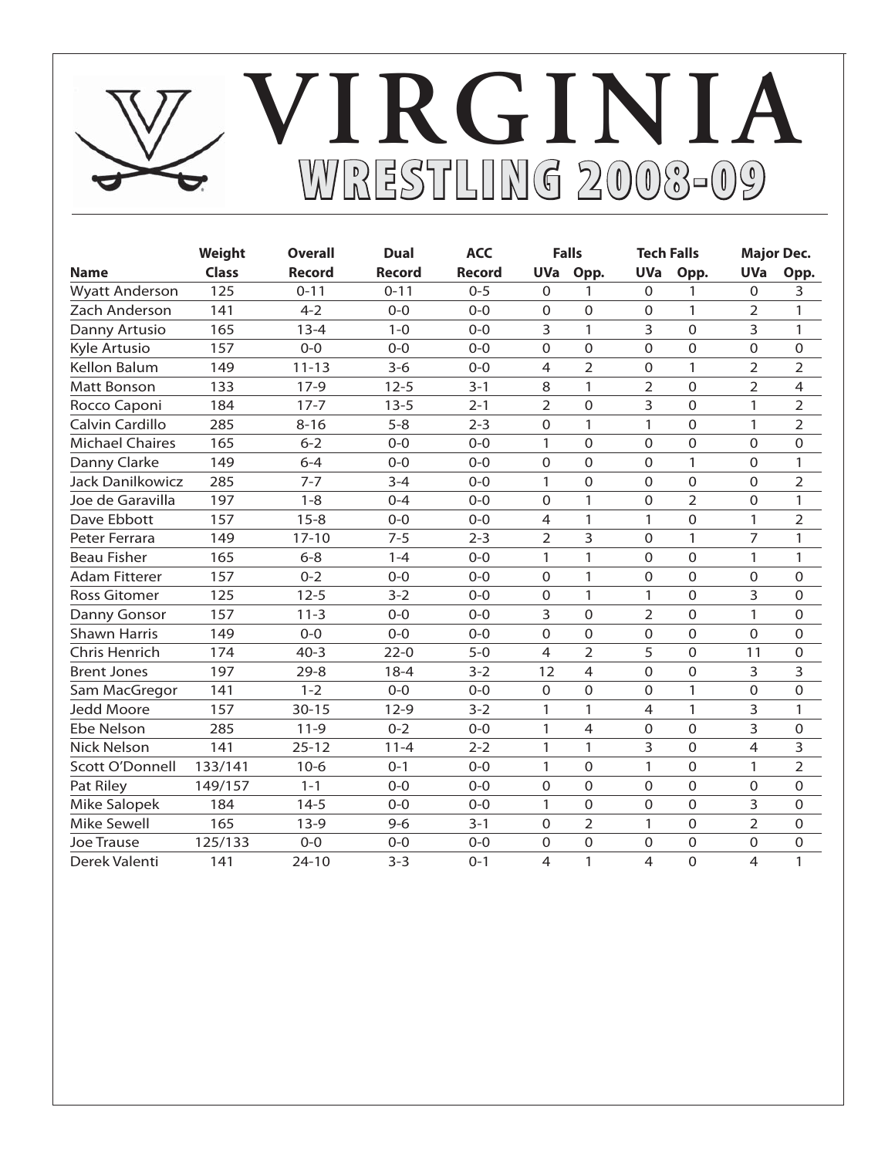# **WRESTLING 2008-09 RESTLING VIRGINIA**

|                         | Weight       | <b>Overall</b> | <b>Dual</b>   | <b>ACC</b>    |                | <b>Falls</b>   | <b>Tech Falls</b> |                |                | <b>Major Dec.</b> |
|-------------------------|--------------|----------------|---------------|---------------|----------------|----------------|-------------------|----------------|----------------|-------------------|
| <b>Name</b>             | <b>Class</b> | <b>Record</b>  | <b>Record</b> | <b>Record</b> |                | UVa Opp.       | <b>UVa</b>        | Opp.           | <b>UVa</b>     | Opp.              |
| <b>Wyatt Anderson</b>   | 125          | $0 - 11$       | $0 - 11$      | $0 - 5$       | 0              | 1              | $\Omega$          | 1              | 0              | 3                 |
| Zach Anderson           | 141          | $4 - 2$        | $0 - 0$       | $0 - 0$       | 0              | $\Omega$       | $\overline{0}$    | 1              | 2              | 1                 |
| Danny Artusio           | 165          | $13 - 4$       | $1 - 0$       | $0 - 0$       | 3              | 1              | 3                 | $\Omega$       | 3              | 1                 |
| Kyle Artusio            | 157          | $0 - 0$        | $0 - 0$       | $0 - 0$       | $\Omega$       | $\Omega$       | $\Omega$          | $\Omega$       | $\Omega$       | 0                 |
| Kellon Balum            | 149          | $11 - 13$      | $3-6$         | $0 - 0$       | $\overline{4}$ | 2              | $\overline{0}$    | 1              | 2              | $\overline{2}$    |
| <b>Matt Bonson</b>      | 133          | $17-9$         | $12 - 5$      | $3 - 1$       | 8              | 1              | $\overline{2}$    | $\Omega$       | $\overline{2}$ | $\overline{4}$    |
| Rocco Caponi            | 184          | $17 - 7$       | $13 - 5$      | $2 - 1$       | $\overline{2}$ | $\Omega$       | 3                 | $\Omega$       | 1              | $\overline{2}$    |
| Calvin Cardillo         | 285          | $8 - 16$       | $5 - 8$       | $2 - 3$       | $\Omega$       | $\mathbf{1}$   | 1                 | $\Omega$       | 1              | $\overline{2}$    |
| <b>Michael Chaires</b>  | 165          | $6 - 2$        | $0 - 0$       | $0 - 0$       | 1              | $\Omega$       | $\Omega$          | $\overline{0}$ | $\mathbf 0$    | $\mathbf 0$       |
| Danny Clarke            | 149          | $6 - 4$        | $0 - 0$       | $0 - 0$       | 0              | $\mathbf 0$    | $\Omega$          | $\mathbf{1}$   | $\Omega$       | 1                 |
| <b>Jack Danilkowicz</b> | 285          | $7 - 7$        | $3 - 4$       | $0 - 0$       | 1              | $\Omega$       | $\Omega$          | $\overline{0}$ | $\mathbf 0$    | $\overline{2}$    |
| Joe de Garavilla        | 197          | $1 - 8$        | $0 - 4$       | $0 - 0$       | 0              | 1              | $\Omega$          | $\overline{2}$ | $\Omega$       | 1                 |
| Dave Ebbott             | 157          | $15 - 8$       | $0 - 0$       | $0 - 0$       | $\overline{4}$ | $\mathbf{1}$   | 1                 | $\overline{0}$ | 1              | 2                 |
| Peter Ferrara           | 149          | $17 - 10$      | $7 - 5$       | $2 - 3$       | $\overline{2}$ | 3              | $\Omega$          | $\mathbf{1}$   | $\overline{7}$ | 1                 |
| <b>Beau Fisher</b>      | 165          | $6 - 8$        | $1 - 4$       | $0 - 0$       | 1              | $\mathbf{1}$   | $\Omega$          | $\Omega$       | 1              | 1                 |
| <b>Adam Fitterer</b>    | 157          | $0 - 2$        | $0 - 0$       | $0 - 0$       | 0              | 1              | $\overline{0}$    | $\Omega$       | $\Omega$       | $\mathbf 0$       |
| <b>Ross Gitomer</b>     | 125          | $12 - 5$       | $3 - 2$       | $0 - 0$       | 0              | $\mathbf{1}$   | 1                 | $\overline{0}$ | 3              | 0                 |
| Danny Gonsor            | 157          | $11 - 3$       | $0 - 0$       | $0 - 0$       | 3              | $\mathbf 0$    | $\overline{2}$    | $\Omega$       | 1              | $\mathbf 0$       |
| <b>Shawn Harris</b>     | 149          | $0 - 0$        | $0 - 0$       | $0 - 0$       | $\overline{0}$ | $\Omega$       | $\overline{0}$    | $\overline{0}$ | $\overline{0}$ | 0                 |
| Chris Henrich           | 174          | $40 - 3$       | $22-0$        | $5 - 0$       | $\overline{4}$ | $\overline{2}$ | 5                 | $\overline{0}$ | 11             | 0                 |
| <b>Brent Jones</b>      | 197          | $29 - 8$       | $18-4$        | $3 - 2$       | 12             | 4              | $\Omega$          | $\overline{0}$ | 3              | 3                 |
| Sam MacGregor           | 141          | $1 - 2$        | $0 - 0$       | $0 - 0$       | $\Omega$       | $\Omega$       | $\Omega$          | 1              | $\Omega$       | $\mathbf 0$       |
| <b>Jedd Moore</b>       | 157          | $30 - 15$      | $12-9$        | $3 - 2$       | 1              | $\mathbf{1}$   | $\overline{4}$    | $\mathbf{1}$   | 3              | 1                 |
| Ebe Nelson              | 285          | $11-9$         | $0 - 2$       | $0-0$         | 1              | 4              | $\overline{0}$    | $\overline{0}$ | 3              | $\mathbf 0$       |
| <b>Nick Nelson</b>      | 141          | $25 - 12$      | $11 - 4$      | $2 - 2$       | 1              | 1              | 3                 | $\Omega$       | $\overline{4}$ | 3                 |
| Scott O'Donnell         | 133/141      | $10-6$         | $0 - 1$       | $0 - 0$       | 1              | $\Omega$       | 1                 | $\Omega$       | 1              | $\overline{2}$    |
| Pat Riley               | 149/157      | $1 - 1$        | $0 - 0$       | $0 - 0$       | 0              | $\mathbf 0$    | $\Omega$          | $\overline{0}$ | $\Omega$       | $\mathbf 0$       |
| Mike Salopek            | 184          | $14-5$         | $0-0$         | $0-0$         | 1              | $\overline{0}$ | $\overline{0}$    | $\mathbf 0$    | 3              | $\mathbf 0$       |
| <b>Mike Sewell</b>      | 165          | $13-9$         | $9 - 6$       | $3 - 1$       | 0              | $\overline{2}$ | $\mathbf{1}$      | $\Omega$       | $\overline{2}$ | $\mathbf 0$       |
| <b>Joe Trause</b>       | 125/133      | $0 - 0$        | $0 - 0$       | $0 - 0$       | 0              | $\Omega$       | $\Omega$          | $\overline{0}$ | $\Omega$       | $\Omega$          |
| Derek Valenti           | 141          | $24 - 10$      | $3 - 3$       | $0 - 1$       | 4              | 1              | $\overline{4}$    | $\Omega$       | $\overline{4}$ | 1                 |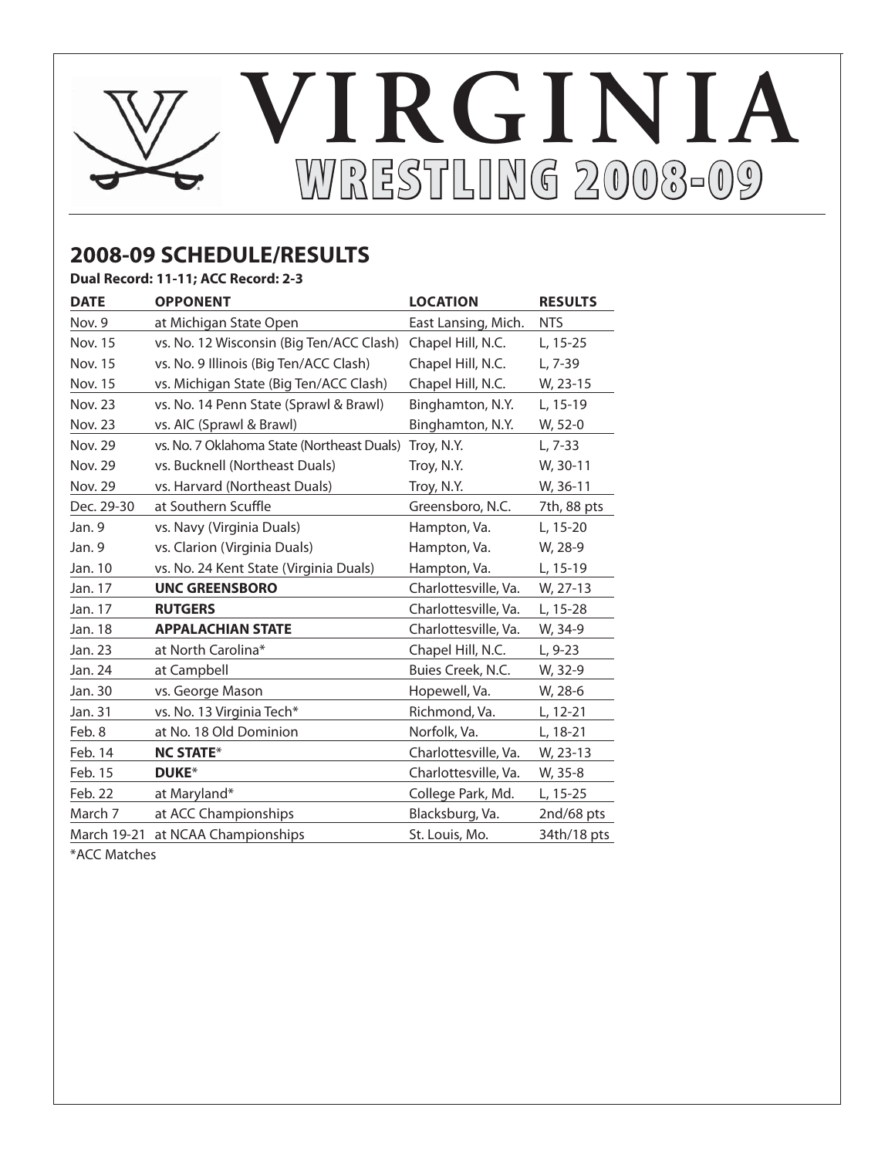# **WRESTLING 2008-09 RESTLING VIRGINIA**

## **2008-09 SCHEDULE/RESULTS**

**Dual Record: 11-11; ACC Record: 2-3**

| <b>DATE</b>    | <b>OPPONENT</b>                            | <b>LOCATION</b>      | <b>RESULTS</b> |
|----------------|--------------------------------------------|----------------------|----------------|
| Nov. 9         | at Michigan State Open                     | East Lansing, Mich.  | <b>NTS</b>     |
| <b>Nov. 15</b> | vs. No. 12 Wisconsin (Big Ten/ACC Clash)   | Chapel Hill, N.C.    | L, 15-25       |
| <b>Nov. 15</b> | vs. No. 9 Illinois (Big Ten/ACC Clash)     | Chapel Hill, N.C.    | L, 7-39        |
| Nov. 15        | vs. Michigan State (Big Ten/ACC Clash)     | Chapel Hill, N.C.    | W, 23-15       |
| Nov. 23        | vs. No. 14 Penn State (Sprawl & Brawl)     | Binghamton, N.Y.     | L, 15-19       |
| Nov. 23        | vs. AIC (Sprawl & Brawl)                   | Binghamton, N.Y.     | W, 52-0        |
| <b>Nov. 29</b> | vs. No. 7 Oklahoma State (Northeast Duals) | Troy, N.Y.           | $L, 7-33$      |
| Nov. 29        | vs. Bucknell (Northeast Duals)             | Troy, N.Y.           | W, 30-11       |
| Nov. 29        | vs. Harvard (Northeast Duals)              | Troy, N.Y.           | W, 36-11       |
| Dec. 29-30     | at Southern Scuffle                        | Greensboro, N.C.     | 7th, 88 pts    |
| Jan. 9         | vs. Navy (Virginia Duals)                  | Hampton, Va.         | L, 15-20       |
| Jan. 9         | vs. Clarion (Virginia Duals)               | Hampton, Va.         | W, 28-9        |
| Jan. 10        | vs. No. 24 Kent State (Virginia Duals)     | Hampton, Va.         | L, 15-19       |
| Jan. 17        | <b>UNC GREENSBORO</b>                      | Charlottesville, Va. | W, 27-13       |
| Jan. 17        | <b>RUTGERS</b>                             | Charlottesville, Va. | L, 15-28       |
| Jan. 18        | <b>APPALACHIAN STATE</b>                   | Charlottesville, Va. | W, 34-9        |
| Jan. 23        | at North Carolina*                         | Chapel Hill, N.C.    | L, 9-23        |
| Jan. 24        | at Campbell                                | Buies Creek, N.C.    | W, 32-9        |
| Jan. 30        | vs. George Mason                           | Hopewell, Va.        | W, 28-6        |
| Jan. 31        | vs. No. 13 Virginia Tech*                  | Richmond, Va.        | L, 12-21       |
| Feb. 8         | at No. 18 Old Dominion                     | Norfolk, Va.         | L, 18-21       |
| Feb. 14        | <b>NC STATE*</b>                           | Charlottesville, Va. | W, 23-13       |
| Feb. 15        | <b>DUKE*</b>                               | Charlottesville, Va. | W, 35-8        |
| Feb. 22        | at Maryland*                               | College Park, Md.    | L, 15-25       |
| March 7        | at ACC Championships                       | Blacksburg, Va.      | 2nd/68 pts     |
| March 19-21    | at NCAA Championships                      | St. Louis, Mo.       | 34th/18 pts    |

\*ACC Matches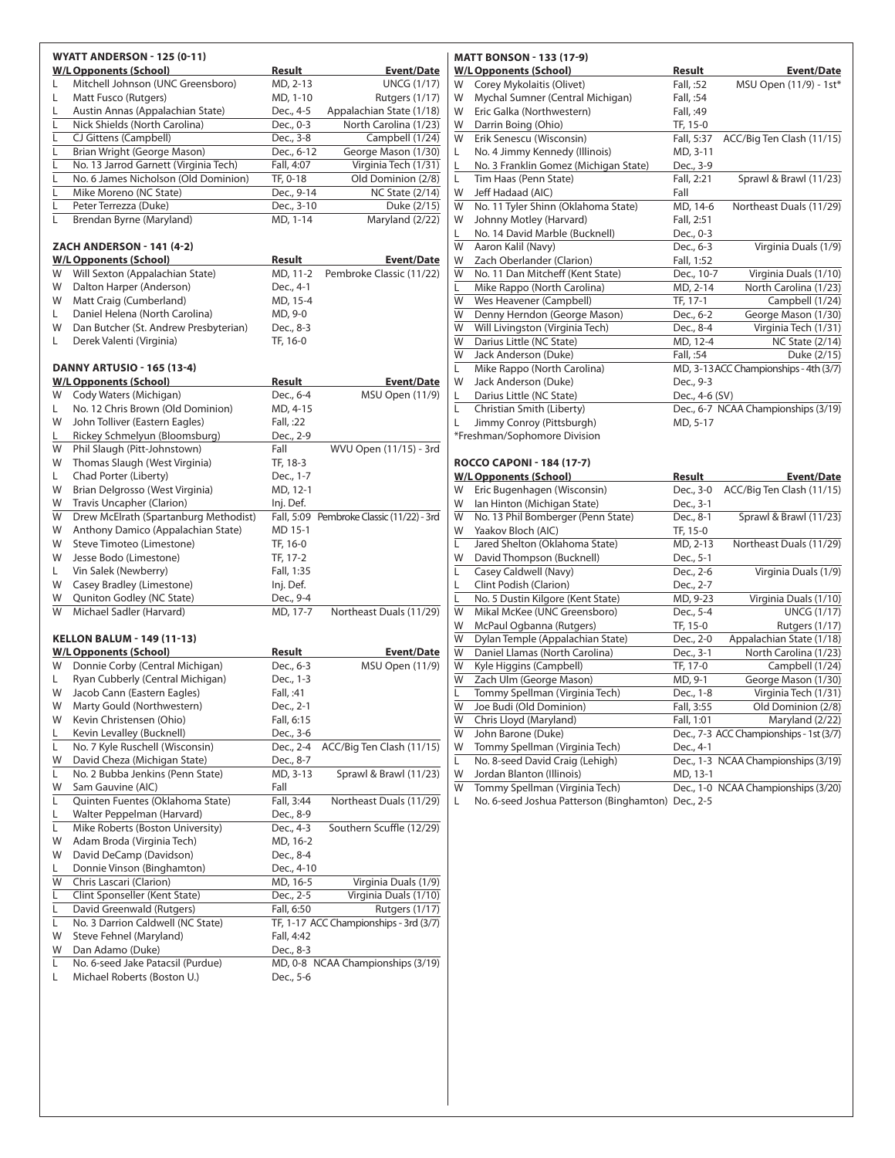|         | <b>WYATT ANDERSON - 125 (0-11)</b>    |            |                                           |
|---------|---------------------------------------|------------|-------------------------------------------|
|         | <b>W/L Opponents (School)</b>         | Result     | <b>Event/Date</b>                         |
| L       | Mitchell Johnson (UNC Greensboro)     | MD, 2-13   | <b>UNCG (1/17)</b>                        |
| L       | Matt Fusco (Rutgers)                  | MD, 1-10   | Rutgers (1/17)                            |
| L       | Austin Annas (Appalachian State)      | Dec., 4-5  | Appalachian State (1/18)                  |
| L       | Nick Shields (North Carolina)         | Dec., 0-3  | North Carolina (1/23)                     |
| L       | CJ Gittens (Campbell)                 | Dec., 3-8  | Campbell (1/24)                           |
| L       | Brian Wright (George Mason)           | Dec., 6-12 | George Mason (1/30)                       |
| L       | No. 13 Jarrod Garnett (Virginia Tech) | Fall, 4:07 | Virginia Tech (1/31)                      |
| Г       | No. 6 James Nicholson (Old Dominion)  | TF, 0-18   | Old Dominion (2/8)                        |
| L       | Mike Moreno (NC State)                | Dec., 9-14 | <b>NC State (2/14)</b>                    |
| Г       | Peter Terrezza (Duke)                 | Dec., 3-10 | Duke (2/15)                               |
| L       | Brendan Byrne (Maryland)              | MD, 1-14   | Maryland (2/22)                           |
|         |                                       |            |                                           |
|         | <b>ZACH ANDERSON - 141 (4-2)</b>      |            |                                           |
|         | <b>W/L Opponents (School)</b>         | Result     | Event/Date                                |
| W       | Will Sexton (Appalachian State)       | MD, 11-2   | Pembroke Classic (11/22)                  |
| W       | Dalton Harper (Anderson)              | Dec., 4-1  |                                           |
| W       | Matt Craig (Cumberland)               | MD, 15-4   |                                           |
| L.      | Daniel Helena (North Carolina)        | MD, 9-0    |                                           |
| W       | Dan Butcher (St. Andrew Presbyterian) | Dec., 8-3  |                                           |
| L.      | Derek Valenti (Virginia)              | TF, 16-0   |                                           |
|         |                                       |            |                                           |
|         | <b>DANNY ARTUSIO - 165 (13-4)</b>     |            |                                           |
|         | <b>W/L Opponents (School)</b>         | Result     | <b>Event/Date</b>                         |
| W       | Cody Waters (Michigan)                | Dec., 6-4  | MSU Open (11/9)                           |
| L.      | No. 12 Chris Brown (Old Dominion)     | MD, 4-15   |                                           |
| W       | John Tolliver (Eastern Eagles)        | Fall, :22  |                                           |
| L.      | Rickey Schmelyun (Bloomsburg)         | Dec., 2-9  |                                           |
| W       | Phil Slaugh (Pitt-Johnstown)          | Fall       | WVU Open (11/15) - 3rd                    |
| W       | Thomas Slaugh (West Virginia)         | TF, 18-3   |                                           |
|         | Chad Porter (Liberty)                 |            |                                           |
| L.<br>W |                                       | Dec., 1-7  |                                           |
|         | Brian Delgrosso (West Virginia)       | MD, 12-1   |                                           |
| W       | Travis Uncapher (Clarion)             | Inj. Def.  |                                           |
| W       | Drew McElrath (Spartanburg Methodist) |            | Fall, 5:09 Pembroke Classic (11/22) - 3rd |
| W       | Anthony Damico (Appalachian State)    | MD 15-1    |                                           |
| W       | Steve Timoteo (Limestone)             | TF, 16-0   |                                           |
| W       | Jesse Bodo (Limestone)                | TF, 17-2   |                                           |
| L.      | Vin Salek (Newberry)                  | Fall, 1:35 |                                           |
| W       | Casey Bradley (Limestone)             | Inj. Def.  |                                           |
| W       | Quniton Godley (NC State)             | Dec., 9-4  |                                           |
| W       | Michael Sadler (Harvard)              | MD, 17-7   | Northeast Duals (11/29)                   |
|         | <b>KELLON BALUM - 149 (11-13)</b>     |            |                                           |
|         | <b>W/L Opponents (School)</b>         | Result     | <b>Event/Date</b>                         |
| W       | Donnie Corby (Central Michigan)       | Dec., 6-3  | MSU Open (11/9)                           |
| L.      | Ryan Cubberly (Central Michigan)      | Dec., 1-3  |                                           |
| W       | Jacob Cann (Eastern Eagles)           | Fall, :41  |                                           |
|         |                                       |            |                                           |
| W       | Marty Gould (Northwestern)            | Dec., 2-1  |                                           |
| W       | Kevin Christensen (Ohio)              | Fall, 6:15 |                                           |
| L       | Kevin Levalley (Bucknell)             | Dec., 3-6  |                                           |
| L.      | No. 7 Kyle Ruschell (Wisconsin)       | Dec., 2-4  | ACC/Big Ten Clash (11/15)                 |
| W       | David Cheza (Michigan State)          | Dec., 8-7  |                                           |
| L.      | No. 2 Bubba Jenkins (Penn State)      | MD, 3-13   | Sprawl & Brawl (11/23)                    |
| W       | Sam Gauvine (AIC)                     | Fall       |                                           |
| L       | Quinten Fuentes (Oklahoma State)      | Fall, 3:44 | Northeast Duals (11/29)                   |
| L       | Walter Peppelman (Harvard)            | Dec., 8-9  |                                           |
| L       | Mike Roberts (Boston University)      | Dec., 4-3  | Southern Scuffle (12/29)                  |
| W       | Adam Broda (Virginia Tech)            | MD, 16-2   |                                           |
| W       | David DeCamp (Davidson)               | Dec., 8-4  |                                           |
| L.      | Donnie Vinson (Binghamton)            | Dec., 4-10 |                                           |
| W       | Chris Lascari (Clarion)               | MD, 16-5   | Virginia Duals (1/9)                      |
| L       | Clint Sponseller (Kent State)         | Dec., 2-5  | Virginia Duals (1/10)                     |
| L       | David Greenwald (Rutgers)             | Fall, 6:50 | Rutgers (1/17)                            |
| L       | No. 3 Darrion Caldwell (NC State)     |            | TF, 1-17 ACC Championships - 3rd (3/7)    |
| W       | Steve Fehnel (Maryland)               | Fall, 4:42 |                                           |
| W       | Dan Adamo (Duke)                      | Dec., 8-3  |                                           |
| L       | No. 6-seed Jake Patacsil (Purdue)     |            | MD, 0-8 NCAA Championships (3/19)         |
| L       | Michael Roberts (Boston U.)           | Dec., 5-6  |                                           |
|         |                                       |            |                                           |

### **MATT BONSON - 133 (17-9)**

|    | <b>W/L Opponents (School)</b>         | Result         | <b>Event/Date</b>                      |
|----|---------------------------------------|----------------|----------------------------------------|
| W  | Corey Mykolaitis (Olivet)             | Fall, :52      | MSU Open (11/9) - 1st*                 |
| W  | Mychal Sumner (Central Michigan)      | Fall, :54      |                                        |
| W  | Eric Galka (Northwestern)             | Fall, :49      |                                        |
| W  | Darrin Boing (Ohio)                   | TF, 15-0       |                                        |
| W  | Erik Senescu (Wisconsin)              | Fall, 5:37     | ACC/Big Ten Clash (11/15)              |
| L. | No. 4 Jimmy Kennedy (Illinois)        | MD, 3-11       |                                        |
| L  | No. 3 Franklin Gomez (Michigan State) | Dec., 3-9      |                                        |
| L  | Tim Haas (Penn State)                 | Fall, 2:21     | Sprawl & Brawl (11/23)                 |
| W  | Jeff Hadaad (AIC)                     | Fall           |                                        |
| W  | No. 11 Tyler Shinn (Oklahoma State)   | MD, 14-6       | Northeast Duals (11/29)                |
| W  | Johnny Motley (Harvard)               | Fall, 2:51     |                                        |
| L  | No. 14 David Marble (Bucknell)        | Dec., 0-3      |                                        |
| W  | Aaron Kalil (Navy)                    | Dec., 6-3      | Virginia Duals (1/9)                   |
| W  | Zach Oberlander (Clarion)             | Fall, 1:52     |                                        |
| W  | No. 11 Dan Mitcheff (Kent State)      | Dec., 10-7     | Virginia Duals (1/10)                  |
| L  | Mike Rappo (North Carolina)           | MD, 2-14       | North Carolina (1/23)                  |
| W  | Wes Heavener (Campbell)               | TF, 17-1       | Campbell (1/24)                        |
| W  | Denny Herndon (George Mason)          | Dec., 6-2      | George Mason (1/30)                    |
| W  | Will Livingston (Virginia Tech)       | Dec., 8-4      | Virginia Tech (1/31)                   |
| W  | Darius Little (NC State)              | MD, 12-4       | <b>NC State (2/14)</b>                 |
| W  | Jack Anderson (Duke)                  | Fall, :54      | Duke (2/15)                            |
| L  | Mike Rappo (North Carolina)           |                | MD, 3-13 ACC Championships - 4th (3/7) |
| W  | Jack Anderson (Duke)                  | Dec., 9-3      |                                        |
| L  | Darius Little (NC State)              | Dec., 4-6 (SV) |                                        |
| L  | Christian Smith (Liberty)             |                | Dec., 6-7 NCAA Championships (3/19)    |
| L  | Jimmy Conroy (Pittsburgh)             | MD, 5-17       |                                        |
|    | *Freshman/Sophomore Division          |                |                                        |
|    |                                       |                |                                        |
|    | <b>ROCCO CAPONI - 184 (17-7)</b>      |                |                                        |
|    | <b>W/L Opponents (School)</b>         | Result         | <b>Event/Date</b>                      |
| W  | Eric Bugenhagen (Wisconsin)           | Dec., 3-0      | ACC/Big Ten Clash (11/15)              |
| W  | Ian Hinton (Michigan State)           | Dec., 3-1      |                                        |
| W  | No. 13 Phil Bomberger (Penn State)    | Dec., 8-1      | Sprawl & Brawl (11/23)                 |
| W  | Yaakov Bloch (AIC)                    | TF, 15-0       |                                        |
| L  | Jared Shelton (Oklahoma State)        | MD, 2-13       | Northeast Duals (11/29)                |
| W  | David Thompson (Bucknell)             | Dec., 5-1      |                                        |
| L  | Casey Caldwell (Navy)                 | Dec., 2-6      | Virginia Duals (1/9)                   |
| Ļ  | Clint Podish (Clarion)                | Dec., 2-7      |                                        |
| L  | No. 5 Dustin Kilgore (Kent State)     | MD, 9-23       | Virginia Duals (1/10)                  |
| W  | Mikal McKee (UNC Greensboro)          | Dec., 5-4      | <b>UNCG (1/17)</b>                     |
| W  | McPaul Ogbanna (Rutgers)              | TF, 15-0       | Rutgers (1/17)                         |
| W  | Dylan Temple (Appalachian State)      | Dec., 2-0      | Appalachian State (1/18)               |
| W  | Daniel Llamas (North Carolina)        | Dec., 3-1      | North Carolina (1/23)                  |
| W  | Kyle Higgins (Campbell)               | TF, 17-0       | Campbell (1/24)                        |
| W  | Zach Ulm (George Mason)               | MD, 9-1        | George Mason (1/30)                    |

| <b>VV</b> | <b>LUCIT OIIII</b> (OCOLGE MUSSIT) | $1$ $\vee$ $1$ $\vee$ $\vee$ $\vee$ $\vee$ $\vee$ | <b>OCONGE IVIOSOFI (1/JV)</b>           |
|-----------|------------------------------------|---------------------------------------------------|-----------------------------------------|
|           | Tommy Spellman (Virginia Tech)     | Dec., 1-8                                         | Virginia Tech (1/31)                    |
| W         | Joe Budi (Old Dominion)            | Fall, 3:55                                        | Old Dominion (2/8)                      |
| W         | Chris Lloyd (Maryland)             | Fall, 1:01                                        | Maryland (2/22)                         |
| W         | John Barone (Duke)                 |                                                   | Dec., 7-3 ACC Championships - 1st (3/7) |
| W         | Tommy Spellman (Virginia Tech)     | Dec., 4-1                                         |                                         |
|           | No. 8-seed David Craig (Lehigh)    |                                                   | Dec., 1-3 NCAA Championships (3/19)     |
| W         | Jordan Blanton (Illinois)          | MD, 13-1                                          |                                         |
| W         | Tommy Spellman (Virginia Tech)     |                                                   | Dec., 1-0 NCAA Championships (3/20)     |

L No. 6-seed Joshua Patterson (Binghamton) Dec., 2-5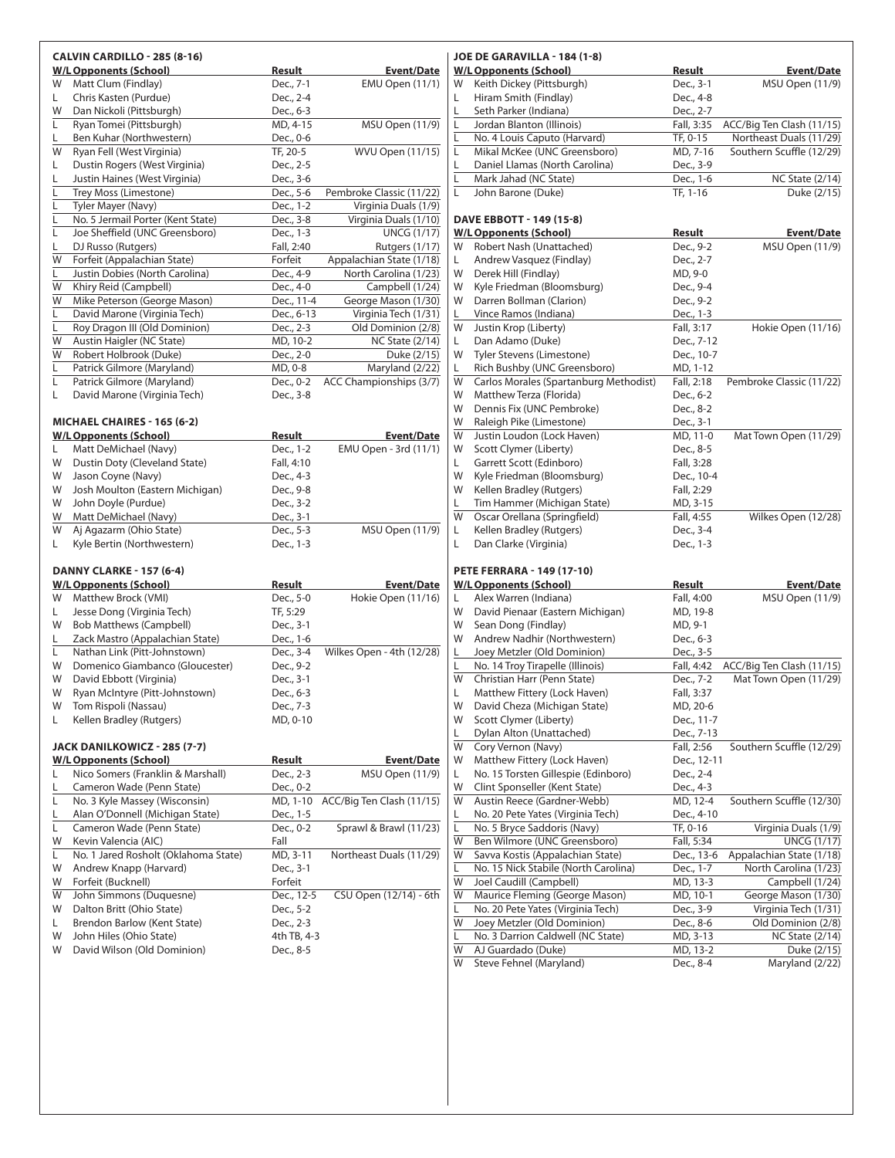|         | <b>CALVIN CARDILLO - 285 (8-16)</b>                                |               |                           |
|---------|--------------------------------------------------------------------|---------------|---------------------------|
|         | <b>W/L Opponents (School)</b>                                      | Result        | <b>Event/Date</b>         |
| W       | Matt Clum (Findlay)                                                | Dec., 7-1     | <b>EMU Open (11/1)</b>    |
| L       | Chris Kasten (Purdue)                                              | Dec., 2-4     |                           |
| W       | Dan Nickoli (Pittsburgh)                                           | Dec., 6-3     |                           |
| L       | Ryan Tomei (Pittsburgh)                                            | MD, 4-15      | <b>MSU Open (11/9)</b>    |
| L.      | Ben Kuhar (Northwestern)                                           | Dec., 0-6     |                           |
| W       | Ryan Fell (West Virginia)                                          | TF, 20-5      | <b>WVU Open (11/15)</b>   |
| L       | Dustin Rogers (West Virginia)                                      | Dec., 2-5     |                           |
| L       | Justin Haines (West Virginia)                                      | Dec., 3-6     |                           |
| L       | <b>Trey Moss (Limestone)</b>                                       | Dec., 5-6     | Pembroke Classic (11/22)  |
| Г       | Tyler Mayer (Navy)                                                 | Dec., 1-2     | Virginia Duals (1/9)      |
| L       | No. 5 Jermail Porter (Kent State)                                  | Dec., 3-8     | Virginia Duals (1/10)     |
| Г       | Joe Sheffield (UNC Greensboro)                                     | Dec., 1-3     | $\overline{UNCG(1/17)}$   |
| L       | DJ Russo (Rutgers)                                                 | Fall, 2:40    | Rutgers (1/17)            |
| W       | Forfeit (Appalachian State)                                        | Forfeit       | Appalachian State (1/18)  |
| L       | Justin Dobies (North Carolina)                                     | Dec., 4-9     | North Carolina (1/23)     |
| W       | Khiry Reid (Campbell)                                              | Dec., 4-0     | Campbell (1/24)           |
| W       | Mike Peterson (George Mason)                                       | Dec., 11-4    | George Mason (1/30)       |
| L       | David Marone (Virginia Tech)                                       | Dec., 6-13    | Virginia Tech (1/31)      |
| Г       | Roy Dragon III (Old Dominion)                                      | Dec., 2-3     | Old Dominion (2/8)        |
| W       | Austin Haigler (NC State)                                          | MD, 10-2      | <b>NC State (2/14)</b>    |
| W       | Robert Holbrook (Duke)                                             | Dec., 2-0     | Duke (2/15)               |
| L       | Patrick Gilmore (Maryland)                                         | MD, 0-8       | Maryland (2/22)           |
| Г       | Patrick Gilmore (Maryland)                                         | Dec., 0-2     | ACC Championships (3/7)   |
| L       | David Marone (Virginia Tech)                                       | Dec., 3-8     |                           |
|         |                                                                    |               |                           |
|         | MICHAEL CHAIRES - 165 (6-2)<br><b>W/L Opponents (School)</b>       | Result        | <b>Event/Date</b>         |
| L       | Matt DeMichael (Navy)                                              | Dec., 1-2     | EMU Open - 3rd (11/1)     |
| W       | Dustin Doty (Cleveland State)                                      | Fall, 4:10    |                           |
| W       | Jason Coyne (Navy)                                                 | Dec., 4-3     |                           |
| W       | Josh Moulton (Eastern Michigan)                                    | Dec., 9-8     |                           |
| W       | John Doyle (Purdue)                                                | Dec., 3-2     |                           |
| W       | Matt DeMichael (Navy)                                              | Dec., 3-1     |                           |
| W       | Aj Agazarm (Ohio State)                                            | Dec., 5-3     | <b>MSU Open (11/9)</b>    |
| L.      | Kyle Bertin (Northwestern)                                         | Dec., 1-3     |                           |
|         |                                                                    |               |                           |
|         | DANNY CLARKE - 157 (6-4)                                           |               |                           |
|         | <b>W/L Opponents (School)</b>                                      | Result        | Event/Date                |
| W       | Matthew Brock (VMI)                                                | Dec., 5-0     | Hokie Open (11/16)        |
| L       | Jesse Dong (Virginia Tech)                                         | TF, 5:29      |                           |
| W       | <b>Bob Matthews (Campbell)</b>                                     | Dec., 3-1     |                           |
| L       | Zack Mastro (Appalachian State)                                    | Dec., 1-6     |                           |
| L.      | Nathan Link (Pitt-Johnstown)                                       | Dec., 3-4     | Wilkes Open - 4th (12/28) |
| W       | Domenico Giambanco (Gloucester)                                    | Dec., 9-2     |                           |
| W       | David Ebbott (Virginia)                                            | Dec., 3-1     |                           |
| W       | Ryan McIntyre (Pitt-Johnstown)                                     | Dec., 6-3     |                           |
| W       | Tom Rispoli (Nassau)                                               | Dec., 7-3     |                           |
| L       | Kellen Bradley (Rutgers)                                           | MD, 0-10      |                           |
|         |                                                                    |               |                           |
|         | JACK DANILKOWICZ - 285 (7-7)                                       |               |                           |
| L       | <b>W/L Opponents (School)</b><br>Nico Somers (Franklin & Marshall) | <u>Result</u> | <u>Event/Date</u>         |
|         | Cameron Wade (Penn State)                                          | Dec., 2-3     | MSU Open (11/9)           |
| L       |                                                                    | Dec., 0-2     |                           |
| L       | No. 3 Kyle Massey (Wisconsin)                                      | MD, 1-10      | ACC/Big Ten Clash (11/15) |
| L       | Alan O'Donnell (Michigan State)                                    | Dec., 1-5     |                           |
| L       | Cameron Wade (Penn State)                                          | Dec., 0-2     | Sprawl & Brawl (11/23)    |
| W<br>L. | Kevin Valencia (AIC)<br>No. 1 Jared Rosholt (Oklahoma State)       | Fall          |                           |
|         |                                                                    | MD, 3-11      | Northeast Duals (11/29)   |
| W       | Andrew Knapp (Harvard)                                             | Dec., 3-1     |                           |
| W       | Forfeit (Bucknell)                                                 | Forfeit       |                           |
| W       | John Simmons (Duquesne)                                            | Dec., 12-5    | CSU Open (12/14) - 6th    |
| W       | Dalton Britt (Ohio State)                                          | Dec., 5-2     |                           |
| L.<br>W | Brendon Barlow (Kent State)<br>John Hiles (Ohio State)             | Dec., 2-3     |                           |
| W       | David Wilson (Old Dominion)                                        | 4th TB, 4-3   |                           |
|         |                                                                    | Dec., 8-5     |                           |

### **JOE DE GARAVILLA - 184 (1-8)** W/L Opponents (School) Result Event/Date W Keith Dickey (Pittsburgh) Dec., 3-1 MSU Open (11/9)<br>
L Hiram Smith (Findlay) Dec., 4-8 L Hiram Smith (Findlay) Seth Parker (Indiana) Dec., 2-7 L Jordan Blanton (Illinois) Fall, 3:35 ACC/Big Ten Clash (11/15) No. 4 Louis Caputo (Harvard) TF, 0-15 Northeast Duals (11/29)<br>
Mikal McKee (UNC Greensboro) MD, 7-16 Southern Scuffle (12/29) L Mikal McKee (UNC Greensboro) Daniel Llamas (North Carolina) Dec., 3-9<br>
Mark Jahad (NC State) Dec., 1-6 L Mark Jahad (NC State) Dec., 1-6 NC State (2/14) L John Barone (Duke) TF, 1-16 Duke (2/15) **DAVE EBBOTT - 149 (15-8) W/L Opponents (School) Result Event/Date** W Robert Nash (Unattached) Dec., 9-2 MSU Open (11/9)<br>
L Andrew Vasquez (Findlay) Dec., 2-7 L Andrew Vasquez (Findlay) W Derek Hill (Findlay) MD, 9-0 W Kyle Friedman (Bloomsburg) Dec., 9-4 W Darren Bollman (Clarion) Dec., 9-2 Vince Ramos (Indiana) Dec., 1-3 W Justin Krop (Liberty) Fall, 3:17 Hokie Open (11/16) L Dan Adamo (Duke) Dec., 7-12 W Tyler Stevens (Limestone) Dec., 10-7 L Rich Bushby (UNC Greensboro) MD, 1-12 W Carlos Morales (Spartanburg Methodist) Fall, 2:18 Pembroke Classic (11/22) W Matthew Terza (Florida) Dec., 6-2 W Dennis Fix (UNC Pembroke) Dec., 8-2<br>W Raleigh Pike (Limestone) Dec., 3-1 W Raleigh Pike (Limestone) W Justin Loudon (Lock Haven) MD, 11-0 Mat Town Open (11/29) W Scott Clymer (Liberty) Dec., 8-5 L Garrett Scott (Edinboro) Fall, 3:28 W Kyle Friedman (Bloomsburg) Dec., 10-4 W Kellen Bradley (Rutgers) Fall, 2:29<br>
L Tim Hammer (Michigan State) MD. 3-15 L Tim Hammer (Michigan State) W Oscar Orellana (Springfield) Fall, 4:55 Wilkes Open (12/28)<br>
L Kellen Bradley (Rutgers) Dec., 3-4 L Kellen Bradley (Rutgers) L Dan Clarke (Virginia) Dec., 1-3 **PETE FERRARA - 149 (17-10)** W/L Opponents (School) Result Result Event/Date Alex Warren (Indiana) Fall, 4:00 MSU Open (11/9) W David Pienaar (Eastern Michigan) MD, 19-8<br>W Sean Dong (Findlay) MD, 9-1 W Sean Dong (Findlay) W Andrew Nadhir (Northwestern) Dec., 6-3 Loey Metzler (Old Dominion) Dec., 3-5<br>
No. 14 Troy Tirapelle (Illinois) Fall, 4:42 L No. 14 Troy Tirapelle (Illinois) Fall, 4:42 ACC/Big Ten Clash (11/15) W Christian Harr (Penn State) Dec., 7-2 Mat Town Open (11/29) L Matthew Fittery (Lock Haven) Fall, 3:37<br>W David Cheza (Michigan State) MD, 20-6 W David Cheza (Michigan State) W Scott Clymer (Liberty) Dec., 11-7 L Dylan Alton (Unattached) Dec., 7-13<br>W Cory Vernon (Nayy) Fall. 2:56 Cory Vernon (Navy) Fall, 2:56 Southern Scuffle (12/29) W Matthew Fittery (Lock Haven) Dec., 12-11 L No. 15 Torsten Gillespie (Edinboro) Dec., 2-4<br>W Clint Sponseller (Kent State) Dec., 4-3 Clint Sponseller (Kent State) W Austin Reece (Gardner-Webb) MD, 12-4 Southern Scuffle (12/30) No. 20 Pete Yates (Virginia Tech) Dec., 4-10<br>No. 5 Bryce Saddoris (Navy) TF, 0-16 L No. 5 Bryce Saddoris (Navy) TF, 0-16 Virginia Duals (1/9) W Ben Wilmore (UNC Greensboro) Fall, 5:34 UNCG (1/17) W Savva Kostis (Appalachian State) Dec., 13-6 Appalachian State (1/18)<br>
L No. 15 Nick Stabile (North Carolina) Dec., 1-7 North Carolina (1/23) No. 15 Nick Stabile (North Carolina) W Joel Caudill (Campbell) MD, 13-3 Campbell (1/24) W Maurice Fleming (George Mason) MD, 10-1 George Mason (1/30)<br>
No. 20 Pete Yates (Virginia Tech) Dec., 3-9 Virginia Tech (1/31) L No. 20 Pete Yates (Virginia Tech) W Joey Metzler (Old Dominion) Dec., 8-6 Old Dominion (2/8) No. 3 Darrion Caldwell (NC State) MD, 3-13 NC State (2/14)<br>
AJ Guardado (Duke) MD, 13-2 Duke (2/15) AJ Guardado (Duke) W Steve Fehnel (Maryland) Dec., 8-4 Maryland (2/22)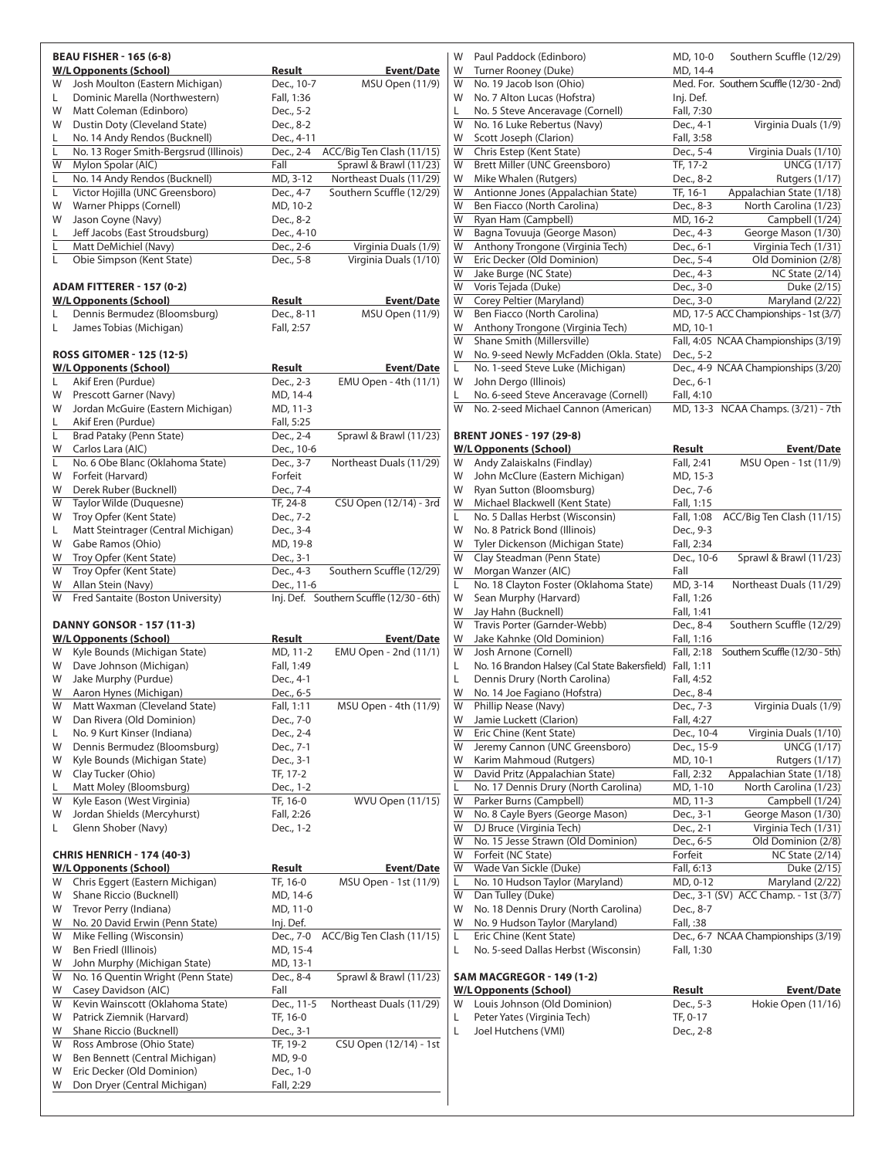|         | <b>BEAU FISHER - 165 (6-8)</b>                                          |                         |                                          |
|---------|-------------------------------------------------------------------------|-------------------------|------------------------------------------|
|         | <b>W/L Opponents (School)</b>                                           | Result                  | <b>Event/Date</b>                        |
| W       | Josh Moulton (Eastern Michigan)                                         | Dec., 10-7              | <b>MSU Open (11/9)</b>                   |
| L.      | Dominic Marella (Northwestern)                                          | Fall, 1:36              |                                          |
| W       | Matt Coleman (Edinboro)                                                 | Dec., 5-2               |                                          |
| W       | Dustin Doty (Cleveland State)                                           | Dec., 8-2               |                                          |
| L.<br>L | No. 14 Andy Rendos (Bucknell)<br>No. 13 Roger Smith-Bergsrud (Illinois) | Dec., 4-11<br>Dec., 2-4 | ACC/Big Ten Clash (11/15)                |
| W       | Mylon Spolar (AIC)                                                      | Fall                    | Sprawl & Brawl (11/23)                   |
| L       | No. 14 Andy Rendos (Bucknell)                                           | MD, 3-12                | Northeast Duals (11/29)                  |
| L.      | Victor Hojilla (UNC Greensboro)                                         | Dec., 4-7               | Southern Scuffle (12/29)                 |
| W       | Warner Phipps (Cornell)                                                 | MD, 10-2                |                                          |
| W       | Jason Coyne (Navy)                                                      | Dec., 8-2               |                                          |
| L       | Jeff Jacobs (East Stroudsburg)                                          | Dec., 4-10              |                                          |
| L       | Matt DeMichiel (Navy)                                                   | Dec., 2-6               | Virginia Duals (1/9)                     |
| L       | Obie Simpson (Kent State)                                               | Dec., 5-8               | Virginia Duals (1/10)                    |
|         |                                                                         |                         |                                          |
|         | <b>ADAM FITTERER - 157 (0-2)</b>                                        |                         |                                          |
| L       | <b>W/L Opponents (School)</b><br>Dennis Bermudez (Bloomsburg)           | Result<br>Dec., 8-11    | <b>Event/Date</b><br>MSU Open (11/9)     |
| L       | James Tobias (Michigan)                                                 | Fall, 2:57              |                                          |
|         |                                                                         |                         |                                          |
|         | <b>ROSS GITOMER - 125 (12-5)</b>                                        |                         |                                          |
|         | <b>W/L Opponents (School)</b>                                           | Result                  | <b>Event/Date</b>                        |
| L       | Akif Eren (Purdue)                                                      | Dec., 2-3               | EMU Open - 4th (11/1)                    |
| W       | Prescott Garner (Navy)                                                  | MD, 14-4                |                                          |
| W       | Jordan McGuire (Eastern Michigan)                                       | MD, 11-3                |                                          |
| L.      | Akif Eren (Purdue)                                                      | Fall, 5:25              |                                          |
| L       | Brad Pataky (Penn State)                                                | Dec., 2-4               | Sprawl & Brawl (11/23)                   |
| W       | Carlos Lara (AIC)                                                       | Dec., 10-6              |                                          |
| L.      | No. 6 Obe Blanc (Oklahoma State)                                        | Dec., 3-7               | Northeast Duals (11/29)                  |
| W<br>W  | Forfeit (Harvard)                                                       | Forfeit                 |                                          |
| W       | Derek Ruber (Bucknell)<br>Taylor Wilde (Duquesne)                       | Dec., 7-4<br>TF, 24-8   | CSU Open (12/14) - 3rd                   |
| W       | Troy Opfer (Kent State)                                                 | Dec., 7-2               |                                          |
| L.      | Matt Steintrager (Central Michigan)                                     | Dec., 3-4               |                                          |
| W       | Gabe Ramos (Ohio)                                                       | MD, 19-8                |                                          |
| W       | Troy Opfer (Kent State)                                                 | Dec., 3-1               |                                          |
| W       | Troy Opfer (Kent State)                                                 | Dec., 4-3               | Southern Scuffle (12/29)                 |
| W       | Allan Stein (Navy)                                                      | Dec., 11-6              |                                          |
| W       | Fred Santaite (Boston University)                                       |                         | Inj. Def. Southern Scuffle (12/30 - 6th) |
|         |                                                                         |                         |                                          |
|         | <b>DANNY GONSOR - 157 (11-3)</b>                                        |                         |                                          |
|         | <b>W/L Opponents (School)</b><br>Kyle Bounds (Michigan State)           | <u>Result</u>           | <b>Event/Date</b>                        |
| W<br>W  | Dave Johnson (Michigan)                                                 | MD, 11-2                | EMU Open - 2nd (11/1)                    |
| W       | Jake Murphy (Purdue)                                                    | Fall, 1:49<br>Dec., 4-1 |                                          |
| W       | Aaron Hynes (Michigan)                                                  | Dec., 6-5               |                                          |
| W       | Matt Waxman (Cleveland State)                                           | Fall, 1:11              | MSU Open - 4th (11/9)                    |
| W       | Dan Rivera (Old Dominion)                                               | Dec., 7-0               |                                          |
| L       | No. 9 Kurt Kinser (Indiana)                                             | Dec., 2-4               |                                          |
| W       | Dennis Bermudez (Bloomsburg)                                            | Dec., 7-1               |                                          |
| W       | Kyle Bounds (Michigan State)                                            | Dec., 3-1               |                                          |
| W       | Clay Tucker (Ohio)                                                      | TF, 17-2                |                                          |
| L.      | Matt Moley (Bloomsburg)                                                 | Dec., 1-2               |                                          |
| W       | Kyle Eason (West Virginia)                                              | TF, 16-0                | <b>WVU Open (11/15)</b>                  |
| W       | Jordan Shields (Mercyhurst)                                             | Fall, 2:26              |                                          |
| L.      | Glenn Shober (Navy)                                                     | Dec., 1-2               |                                          |
|         | <b>CHRIS HENRICH - 174 (40-3)</b>                                       |                         |                                          |
|         | <b>W/L Opponents (School)</b>                                           | <b>Result</b>           | <b>Event/Date</b>                        |
| W       | Chris Eggert (Eastern Michigan)                                         | TF, 16-0                | MSU Open - 1st (11/9)                    |
| W       | Shane Riccio (Bucknell)                                                 | MD, 14-6                |                                          |
| W       | Trevor Perry (Indiana)                                                  | MD, 11-0                |                                          |
| W       | No. 20 David Erwin (Penn State)                                         | Inj. Def.               |                                          |
| W       | Mike Felling (Wisconsin)                                                | Dec., 7-0               | ACC/Big Ten Clash (11/15)                |
| W       | Ben Friedl (Illinois)                                                   | MD, 15-4                |                                          |
| W       | John Murphy (Michigan State)                                            | MD, 13-1                |                                          |
| W       | No. 16 Quentin Wright (Penn State)                                      | Dec., 8-4               | Sprawl & Brawl (11/23)                   |
| W       | Casey Davidson (AIC)                                                    | Fall                    |                                          |
| W       | Kevin Wainscott (Oklahoma State)                                        | Dec., 11-5              | Northeast Duals (11/29)                  |
| W       | Patrick Ziemnik (Harvard)                                               | TF, 16-0                |                                          |
| W       | Shane Riccio (Bucknell)                                                 | Dec., 3-1               |                                          |
| W       | Ross Ambrose (Ohio State)                                               | TF, 19-2                | CSU Open (12/14) - 1st                   |
| W       | Ben Bennett (Central Michigan)                                          | MD, 9-0                 |                                          |
| W       | Eric Decker (Old Dominion)                                              | Dec., 1-0               |                                          |
| W       | Don Dryer (Central Michigan)                                            | Fall, 2:29              |                                          |

| W      | Paul Paddock (Edinboro)                                                                   | MD, 10-0                   | Southern Scuffle (12/29)                                 |
|--------|-------------------------------------------------------------------------------------------|----------------------------|----------------------------------------------------------|
| W      | Turner Rooney (Duke)                                                                      | MD, 14-4                   |                                                          |
| W      | No. 19 Jacob Ison (Ohio)                                                                  |                            | Med. For. Southern Scuffle (12/30 - 2nd)                 |
| W<br>L | No. 7 Alton Lucas (Hofstra)<br>No. 5 Steve Anceravage (Cornell)                           | Inj. Def.<br>Fall, 7:30    |                                                          |
| W      | No. 16 Luke Rebertus (Navy)                                                               | Dec., 4-1                  | Virginia Duals (1/9)                                     |
| W      | Scott Joseph (Clarion)                                                                    | Fall, 3:58                 |                                                          |
| W      | Chris Estep (Kent State)                                                                  | Dec., 5-4                  | Virginia Duals (1/10)                                    |
| W      | Brett Miller (UNC Greensboro)                                                             | TF, 17-2                   | <b>UNCG (1/17)</b>                                       |
| W      | Mike Whalen (Rutgers)                                                                     | Dec., 8-2                  | Rutgers (1/17)                                           |
| W      | Antionne Jones (Appalachian State)                                                        | TF, 16-1                   | Appalachian State (1/18)                                 |
| W<br>W | Ben Fiacco (North Carolina)<br>Ryan Ham (Campbell)                                        | Dec., 8-3<br>MD, 16-2      | North Carolina (1/23)<br>Campbell $(1/24)$               |
| W      | Bagna Tovuuja (George Mason)                                                              | Dec., 4-3                  | George Mason (1/30)                                      |
| W      | Anthony Trongone (Virginia Tech)                                                          | Dec., 6-1                  | Virginia Tech (1/31)                                     |
| W      | Eric Decker (Old Dominion)                                                                | Dec., 5-4                  | Old Dominion (2/8)                                       |
| W      | Jake Burge (NC State)                                                                     | Dec., 4-3                  | <b>NC State (2/14)</b>                                   |
| W      | Voris Tejada (Duke)                                                                       | Dec., 3-0                  | Duke $(2/15)$                                            |
| W      | Corey Peltier (Maryland)                                                                  | Dec., 3-0                  | Maryland (2/22)                                          |
| W<br>W | Ben Fiacco (North Carolina)                                                               |                            | MD, 17-5 ACC Championships - 1st (3/7)                   |
| W      | Anthony Trongone (Virginia Tech)<br>Shane Smith (Millersville)                            | MD, 10-1                   | Fall, 4:05 NCAA Championships (3/19)                     |
| W      | No. 9-seed Newly McFadden (Okla. State)                                                   | Dec., 5-2                  |                                                          |
| L      | No. 1-seed Steve Luke (Michigan)                                                          |                            | Dec., 4-9 NCAA Championships (3/20)                      |
| W      | John Dergo (Illinois)                                                                     | Dec., 6-1                  |                                                          |
| L      | No. 6-seed Steve Anceravage (Cornell)                                                     | Fall, 4:10                 |                                                          |
| W      | No. 2-seed Michael Cannon (American)                                                      |                            | MD, 13-3 NCAA Champs. (3/21) - 7th                       |
|        |                                                                                           |                            |                                                          |
|        | <b>BRENT JONES - 197 (29-8)</b><br><b>W/L Opponents (School)</b>                          | Result                     | Event/Date                                               |
| W      | Andy Zalaiskalns (Findlay)                                                                | Fall, 2:41                 | MSU Open - 1st (11/9)                                    |
| W      | John McClure (Eastern Michigan)                                                           | MD, 15-3                   |                                                          |
| W      | Ryan Sutton (Bloomsburg)                                                                  | Dec., 7-6                  |                                                          |
| W      | Michael Blackwell (Kent State)                                                            | Fall, 1:15                 |                                                          |
| L      | No. 5 Dallas Herbst (Wisconsin)                                                           | Fall, 1:08                 | ACC/Big Ten Clash (11/15)                                |
| W      | No. 8 Patrick Bond (Illinois)                                                             | Dec., 9-3                  |                                                          |
| W<br>W | Tyler Dickenson (Michigan State)<br>Clay Steadman (Penn State)                            | Fall, 2:34<br>Dec., 10-6   | Sprawl & Brawl (11/23)                                   |
| W      | Morgan Wanzer (AIC)                                                                       | Fall                       |                                                          |
| L      | No. 18 Clayton Foster (Oklahoma State)                                                    | MD, 3-14                   | Northeast Duals (11/29)                                  |
| W      | Sean Murphy (Harvard)                                                                     | Fall, 1:26                 |                                                          |
| W      | Jay Hahn (Bucknell)                                                                       | Fall, 1:41                 |                                                          |
| W      | Travis Porter (Garnder-Webb)                                                              | Dec., 8-4                  | Southern Scuffle (12/29)                                 |
| W      | Jake Kahnke (Old Dominion)                                                                | Fall, 1:16                 |                                                          |
| W      | Josh Arnone (Cornell)                                                                     | Fall, 2:18                 | Southern Scuffle (12/30 - 5th)                           |
| L<br>L | No. 16 Brandon Halsey (Cal State Bakersfield) Fall, 1:11<br>Dennis Drury (North Carolina) | Fall, 4:52                 |                                                          |
| W      | No. 14 Joe Fagiano (Hofstra)                                                              | Dec., 8-4                  |                                                          |
| W      | Phillip Nease (Navy)                                                                      | Dec., 7-3                  | Virginia Duals (1/9)                                     |
| W      | Jamie Luckett (Clarion)                                                                   | Fall, 4:27                 |                                                          |
| W      | Eric Chine (Kent State)                                                                   | Dec., 10-4                 | Virginia Duals (1/10)                                    |
| W      | Jeremy Cannon (UNC Greensboro)                                                            | Dec., 15-9                 | $\overline{\text{UNCG}}$ (1/17)                          |
| W      | Karim Mahmoud (Rutgers)                                                                   | MD, 10-1                   | <b>Rutgers (1/17)</b>                                    |
| W<br>L | David Pritz (Appalachian State)<br>No. 17 Dennis Drury (North Carolina)                   | Fall, 2:32<br>MD, 1-10     | Appalachian State (1/18)<br>North Carolina (1/23)        |
| W      | Parker Burns (Campbell)                                                                   | MD, 11-3                   | Campbell (1/24)                                          |
| W      | No. 8 Cayle Byers (George Mason)                                                          | Dec., 3-1                  | George Mason (1/30)                                      |
| W      | DJ Bruce (Virginia Tech)                                                                  | Dec., 2-1                  | Virginia Tech (1/31)                                     |
| W      | No. 15 Jesse Strawn (Old Dominion)                                                        | Dec., 6-5                  | Old Dominion (2/8)                                       |
| W      | Forfeit (NC State)                                                                        | Forfeit                    | <b>NC State (2/14)</b>                                   |
| W      | Wade Van Sickle (Duke)                                                                    | Fall, 6:13                 | Duke (2/15)                                              |
| L<br>W | No. 10 Hudson Taylor (Maryland)<br>Dan Tulley (Duke)                                      | MD, 0-12                   | Maryland (2/22)<br>Dec., 3-1 (SV) ACC Champ. - 1st (3/7) |
| W      | No. 18 Dennis Drury (North Carolina)                                                      | Dec., 8-7                  |                                                          |
| W      | No. 9 Hudson Taylor (Maryland)                                                            | Fall, :38                  |                                                          |
| L      | Eric Chine (Kent State)                                                                   |                            | Dec., 6-7 NCAA Championships (3/19)                      |
| L      | No. 5-seed Dallas Herbst (Wisconsin)                                                      | Fall, 1:30                 |                                                          |
|        |                                                                                           |                            |                                                          |
|        | <b>SAM MACGREGOR - 149 (1-2)</b>                                                          |                            |                                                          |
| W      | <b>W/L Opponents (School)</b><br>Louis Johnson (Old Dominion)                             | <b>Result</b><br>Dec., 5-3 | Event/Date<br>Hokie Open (11/16)                         |
| L      | Peter Yates (Virginia Tech)                                                               | TF, 0-17                   |                                                          |
| L      | Joel Hutchens (VMI)                                                                       | Dec., 2-8                  |                                                          |
|        |                                                                                           |                            |                                                          |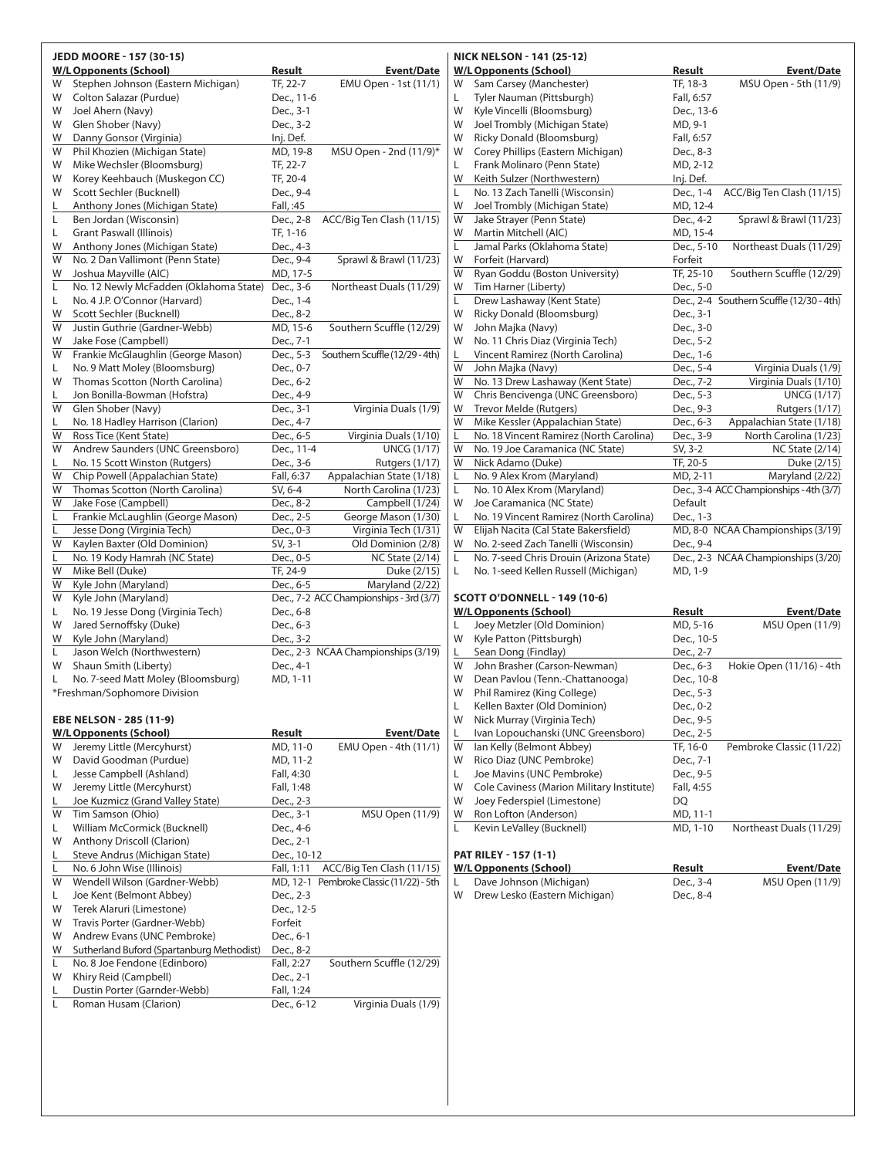|        | JEDD MOORE - 157 (30-15)                                           |                          |                                             |        | <b>NICK NELSON - 141 (25-1)</b>                          |
|--------|--------------------------------------------------------------------|--------------------------|---------------------------------------------|--------|----------------------------------------------------------|
|        | <b>W/L Opponents (School)</b>                                      | <b>Result</b>            | <b>Event/Date</b>                           |        | W/L Opponents (School)                                   |
| W      | Stephen Johnson (Eastern Michigan)                                 | TF, 22-7                 | EMU Open - 1st (11/1)                       | W      | Sam Carsey (Manchest                                     |
| W      | Colton Salazar (Purdue)                                            | Dec., 11-6               |                                             | L      | Tyler Nauman (Pittsbur                                   |
| W      | Joel Ahern (Navy)                                                  | Dec., 3-1                |                                             | W      | Kyle Vincelli (Bloomsbu                                  |
| W<br>W | Glen Shober (Navy)                                                 | Dec., 3-2<br>Inj. Def.   |                                             | W<br>W | Joel Trombly (Michigan                                   |
| W      | Danny Gonsor (Virginia)<br>Phil Khozien (Michigan State)           | MD, 19-8                 | MSU Open - 2nd (11/9)*                      | W      | <b>Ricky Donald (Bloomsb</b><br>Corey Phillips (Eastern) |
| W      | Mike Wechsler (Bloomsburg)                                         | TF, 22-7                 |                                             | L      | Frank Molinaro (Penn S                                   |
| W      | Korey Keehbauch (Muskegon CC)                                      | TF, 20-4                 |                                             | W      | Keith Sulzer (Northwes                                   |
| W      | Scott Sechler (Bucknell)                                           | Dec., 9-4                |                                             | L      | No. 13 Zach Tanelli (Wis                                 |
| L      | Anthony Jones (Michigan State)                                     | Fall, :45                |                                             | W      | Joel Trombly (Michigan                                   |
| Г      | Ben Jordan (Wisconsin)                                             | Dec., 2-8                | ACC/Big Ten Clash (11/15)                   | W      | Jake Strayer (Penn Stat                                  |
| L      | <b>Grant Paswall (Illinois)</b>                                    | TF, 1-16                 |                                             | W      | Martin Mitchell (AIC)                                    |
| W      | Anthony Jones (Michigan State)                                     | Dec., 4-3                |                                             | Г      | Jamal Parks (Oklahoma                                    |
| W      | No. 2 Dan Vallimont (Penn State)                                   | Dec., 9-4                | Sprawl & Brawl (11/23)                      | W      | Forfeit (Harvard)                                        |
| W      | Joshua Mayville (AIC)                                              | MD, 17-5                 |                                             | W      | Ryan Goddu (Boston U                                     |
| L      | No. 12 Newly McFadden (Oklahoma State)                             | Dec., 3-6                | Northeast Duals (11/29)                     | W      | Tim Harner (Liberty)                                     |
| L<br>W | No. 4 J.P. O'Connor (Harvard)<br>Scott Sechler (Bucknell)          | Dec., 1-4<br>Dec., 8-2   |                                             | L<br>W | Drew Lashaway (Kent S<br>Ricky Donald (Bloomsb           |
| W      | Justin Guthrie (Gardner-Webb)                                      | MD, 15-6                 | Southern Scuffle (12/29)                    | W      | John Majka (Navy)                                        |
| W      | Jake Fose (Campbell)                                               | Dec., 7-1                |                                             | W      | No. 11 Chris Diaz (Virgi                                 |
| W      | Frankie McGlaughlin (George Mason)                                 | Dec., 5-3                | Southern Scuffle (12/29 - 4th)              | L      | Vincent Ramirez (North                                   |
| L      | No. 9 Matt Moley (Bloomsburg)                                      | Dec., 0-7                |                                             | W      | John Majka (Navy)                                        |
| W      | Thomas Scotton (North Carolina)                                    | Dec., 6-2                |                                             | W      | No. 13 Drew Lashaway                                     |
| L      | Jon Bonilla-Bowman (Hofstra)                                       | Dec., 4-9                |                                             | W      | Chris Bencivenga (UNC                                    |
| W      | Glen Shober (Navy)                                                 | Dec., 3-1                | Virginia Duals (1/9)                        | W      | Trevor Melde (Rutgers)                                   |
| L      | No. 18 Hadley Harrison (Clarion)                                   | Dec., 4-7                |                                             | W      | Mike Kessler (Appalach                                   |
| W<br>W | Ross Tice (Kent State)<br>Andrew Saunders (UNC Greensboro)         | Dec., 6-5<br>Dec., 11-4  | Virginia Duals (1/10)<br><b>UNCG (1/17)</b> | L<br>W | No. 18 Vincent Ramirez<br>No. 19 Joe Caramanica          |
| L      | No. 15 Scott Winston (Rutgers)                                     | Dec., 3-6                | Rutgers (1/17)                              | W      | Nick Adamo (Duke)                                        |
| W      | Chip Powell (Appalachian State)                                    | Fall, 6:37               | Appalachian State (1/18)                    | L      | No. 9 Alex Krom (Maryl                                   |
| W      | Thomas Scotton (North Carolina)                                    | SV, 6-4                  | North Carolina (1/23)                       | L      | No. 10 Alex Krom (Mary                                   |
| W      | Jake Fose (Campbell)                                               | Dec., 8-2                | Campbell (1/24)                             | W      | Joe Caramanica (NC Sta                                   |
| L      | Frankie McLaughlin (George Mason)                                  | Dec., 2-5                | George Mason (1/30)                         | L      | No. 19 Vincent Ramirez                                   |
| L      | Jesse Dong (Virginia Tech)                                         | Dec., 0-3                | Virginia Tech (1/31)                        | W      | Elijah Nacita (Cal State                                 |
| W      | Kaylen Baxter (Old Dominion)                                       | SV, 3-1                  | Old Dominion (2/8)                          | W      | No. 2-seed Zach Tanelli                                  |
| L      | No. 19 Kody Hamrah (NC State)                                      | Dec., 0-5                | <b>NC State (2/14)</b>                      | L      | No. 7-seed Chris Drouir                                  |
| W<br>W | Mike Bell (Duke)<br>Kyle John (Maryland)                           | TF, 24-9<br>Dec., 6-5    | Duke (2/15)<br>Maryland (2/22)              | L      | No. 1-seed Kellen Russe                                  |
| W      | Kyle John (Maryland)                                               |                          | Dec., 7-2 ACC Championships - 3rd (3/7)     |        | <b>SCOTT O'DONNELL - 149</b>                             |
| L      | No. 19 Jesse Dong (Virginia Tech)                                  | Dec., 6-8                |                                             |        | <u>W/L Opponents (School)</u>                            |
| W      | Jared Sernoffsky (Duke)                                            | Dec., 6-3                |                                             | L      | Joey Metzler (Old Dom                                    |
| W      | Kyle John (Maryland)                                               | Dec., 3-2                |                                             | W      | Kyle Patton (Pittsburgh                                  |
| Г      | Jason Welch (Northwestern)                                         |                          | Dec., 2-3 NCAA Championships (3/19)         | L      | Sean Dong (Findlay)                                      |
| W      | Shaun Smith (Liberty)                                              | Dec., 4-1                |                                             | W      | John Brasher (Carson-N                                   |
| Г      | No. 7-seed Matt Moley (Bloomsburg)<br>*Freshman/Sophomore Division | MD, 1-11                 |                                             | W<br>W | Dean Pavlou (Tenn.-Ch<br>Phil Ramirez (King Colle        |
|        |                                                                    |                          |                                             | L      | Kellen Baxter (Old Dom                                   |
|        | <b>EBE NELSON - 285 (11-9)</b>                                     |                          |                                             | W      | Nick Murray (Virginia Te                                 |
|        | <b>W/L Opponents (School)</b>                                      | Result                   | <b>Event/Date</b>                           | L      | Ivan Lopouchanski (UN                                    |
| W      | Jeremy Little (Mercyhurst)                                         | MD, 11-0                 | EMU Open - 4th (11/1)                       | W      | lan Kelly (Belmont Abb                                   |
| W      | David Goodman (Purdue)                                             | MD, 11-2                 |                                             | W      | Rico Diaz (UNC Pembro                                    |
| L      | Jesse Campbell (Ashland)                                           | Fall, 4:30               |                                             | L      | Joe Mavins (UNC Pemb                                     |
| W      | Jeremy Little (Mercyhurst)                                         | Fall, 1:48               |                                             | W      | Cole Caviness (Marion I                                  |
| L      | Joe Kuzmicz (Grand Valley State)                                   | Dec., 2-3                |                                             | W      | Joey Federspiel (Limest                                  |
| W      | Tim Samson (Ohio)                                                  | Dec., 3-1                | MSU Open (11/9)                             | W      | Ron Lofton (Anderson)                                    |
| L      | William McCormick (Bucknell)                                       | Dec., 4-6                |                                             | L      | Kevin LeValley (Buckne                                   |
| W<br>L | Anthony Driscoll (Clarion)<br>Steve Andrus (Michigan State)        | Dec., 2-1<br>Dec., 10-12 |                                             |        | PAT RILEY - 157 (1-1)                                    |
| Г      | No. 6 John Wise (Illinois)                                         | Fall, 1:11               | ACC/Big Ten Clash (11/15)                   |        | <b>W/L Opponents (School)</b>                            |
| W      | Wendell Wilson (Gardner-Webb)                                      |                          | MD, 12-1 Pembroke Classic (11/22) - 5th     | L      | Dave Johnson (Michiga                                    |
| L      | Joe Kent (Belmont Abbey)                                           | Dec., 2-3                |                                             | W      | Drew Lesko (Eastern Mi                                   |
| W      | Terek Alaruri (Limestone)                                          | Dec., 12-5               |                                             |        |                                                          |
| W      | Travis Porter (Gardner-Webb)                                       | Forfeit                  |                                             |        |                                                          |
| W      | Andrew Evans (UNC Pembroke)                                        | Dec., 6-1                |                                             |        |                                                          |
| W      | Sutherland Buford (Spartanburg Methodist)                          | Dec., 8-2                |                                             |        |                                                          |
| L<br>W | No. 8 Joe Fendone (Edinboro)                                       | Fall, 2:27               | Southern Scuffle (12/29)                    |        |                                                          |
| L      | Khiry Reid (Campbell)<br>Dustin Porter (Garnder-Webb)              | Dec., 2-1<br>Fall, 1:24  |                                             |        |                                                          |
| Г      | Roman Husam (Clarion)                                              | Dec., 6-12               | Virginia Duals (1/9)                        |        |                                                          |
|        |                                                                    |                          |                                             |        |                                                          |
|        |                                                                    |                          |                                             |        |                                                          |

|   | <b>NICK NELSON - 141 (25-12)</b>        |                   |                                          |
|---|-----------------------------------------|-------------------|------------------------------------------|
|   | <b>W/L Opponents (School)</b>           | Result            | <b>Event/Date</b>                        |
| W | Sam Carsey (Manchester)                 | TF, 18-3          | MSU Open - 5th (11/9)                    |
| L | Tyler Nauman (Pittsburgh)               | Fall, 6:57        |                                          |
| W | Kyle Vincelli (Bloomsburg)              | Dec., 13-6        |                                          |
| W | Joel Trombly (Michigan State)           | MD, 9-1           |                                          |
| W | Ricky Donald (Bloomsburg)               | Fall, 6:57        |                                          |
| W | Corey Phillips (Eastern Michigan)       | Dec., 8-3         |                                          |
| L | Frank Molinaro (Penn State)             | MD, 2-12          |                                          |
| W | Keith Sulzer (Northwestern)             | Inj. Def.         |                                          |
| L | No. 13 Zach Tanelli (Wisconsin)         | Dec., 1-4         | ACC/Big Ten Clash (11/15)                |
| W | Joel Trombly (Michigan State)           | MD, 12-4          |                                          |
| W | Jake Strayer (Penn State)               | Dec., 4-2         | Sprawl & Brawl (11/23)                   |
| W | Martin Mitchell (AIC)                   | MD, 15-4          |                                          |
| Ĺ | Jamal Parks (Oklahoma State)            | Dec., 5-10        | Northeast Duals (11/29)                  |
| W | Forfeit (Harvard)                       | Forfeit           |                                          |
| W | Ryan Goddu (Boston University)          | TF, 25-10         | Southern Scuffle (12/29)                 |
| W | Tim Harner (Liberty)                    | Dec., 5-0         |                                          |
| L | Drew Lashaway (Kent State)              |                   | Dec., 2-4 Southern Scuffle (12/30 - 4th) |
| W | Ricky Donald (Bloomsburg)               | Dec., 3-1         |                                          |
| W | John Majka (Navy)                       | Dec., 3-0         |                                          |
| W | No. 11 Chris Diaz (Virginia Tech)       | Dec., 5-2         |                                          |
| L | Vincent Ramirez (North Carolina)        | Dec., 1-6         |                                          |
| W | John Majka (Navy)                       | Dec., 5-4         | Virginia Duals (1/9)                     |
| W | No. 13 Drew Lashaway (Kent State)       | Dec., 7-2         | Virginia Duals (1/10)                    |
| W | Chris Bencivenga (UNC Greensboro)       | Dec., 5-3         | <b>UNCG (1/17)</b>                       |
| W | Trevor Melde (Rutgers)                  | Dec., 9-3         | <b>Rutgers (1/17)</b>                    |
| W | Mike Kessler (Appalachian State)        | Dec., 6-3         | Appalachian State (1/18)                 |
| L | No. 18 Vincent Ramirez (North Carolina) | Dec., 3-9         | North Carolina (1/23)                    |
| W | No. 19 Joe Caramanica (NC State)        | SV, 3-2           | <b>NC State (2/14)</b>                   |
| W | Nick Adamo (Duke)                       | TF, 20-5          | Duke (2/15)                              |
| L | No. 9 Alex Krom (Maryland)              | MD, 2-11          | Maryland (2/22)                          |
| L | No. 10 Alex Krom (Maryland)             |                   | Dec., 3-4 ACC Championships - 4th (3/7)  |
| W | Joe Caramanica (NC State)               | Default           |                                          |
| L | No. 19 Vincent Ramirez (North Carolina) | Dec., 1-3         |                                          |
| W | Elijah Nacita (Cal State Bakersfield)   |                   | MD, 8-0 NCAA Championships (3/19)        |
| W | No. 2-seed Zach Tanelli (Wisconsin)     | Dec., 9-4         |                                          |
| L | No. 7-seed Chris Drouin (Arizona State) |                   | Dec., 2-3 NCAA Championships (3/20)      |
| L | No. 1-seed Kellen Russell (Michigan)    | MD, 1-9           |                                          |
|   |                                         |                   |                                          |
|   | <b>SCOTT O'DONNELL - 149 (10-6)</b>     |                   |                                          |
|   | W/L Onnononte (School)                  | $D_{\alpha}$ cult | $E$ wont/Dato                            |

#### **W/L Opponents (School) Result Event/Date** L Joey Metzler (Old Dominion) MD, 5-16 MSU Open (11/9)  $Dec., 10-5$ Lec., 2-7<br>Dec., 2-7<br>Newman) Dec., 6-3 Hokie Open (11/16) - 4th hattanooga)<br>lege) National College<br>
Internation Dec., 10-8<br>
Ilege) Dec., 5-3<br>
Pec., 0-2 Dec., 0-2 Pech) Dec., 9-5<br>
VC Greensboro) Dec., 2-5<br>
Joey) TF, 16-0 VC Greensboro)<br>Dey) Pembroke Classic (11/22) W Rico Diaz (UNC Pembroke) Dec., 7-1 L Joe Mavins (UNC Pembroke) Dec., 9-5 Military Institute) Fall, 4:55<br>tone) DQ tone) MD, 11-1<br>Anderson (Anderson) MD, 1-10 Northeast Duals (11/29)

| W/L Opponents (School)          | Result    | <b>Event/Date</b> |
|---------------------------------|-----------|-------------------|
| Dave Johnson (Michigan)         | Dec., 3-4 | MSU Open (11/9)   |
| W Drew Lesko (Eastern Michigan) | Dec., 8-4 |                   |